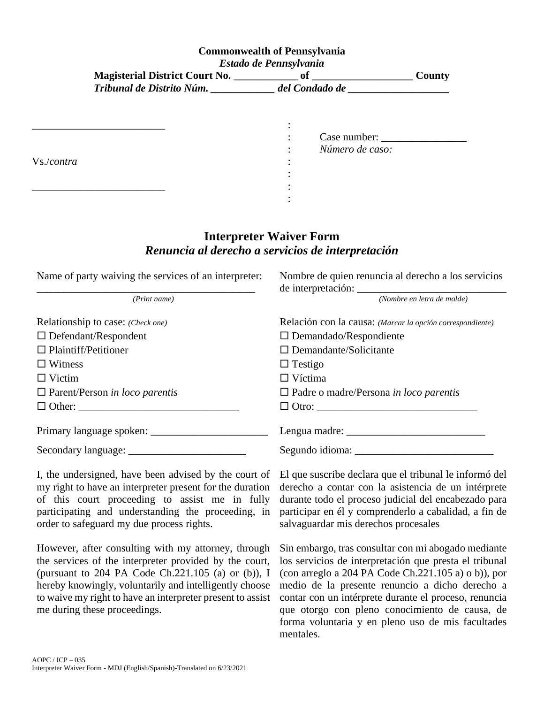## **Commonwealth of Pennsylvania** *Estado de Pennsylvania*

| Magisterial District Court No. |                | County |
|--------------------------------|----------------|--------|
| Tribunal de Distrito Núm.      | del Condado de |        |

|            | Case number:    |
|------------|-----------------|
| Vs./contra | Número de caso: |
|            |                 |
|            |                 |

## **Interpreter Waiver Form** *Renuncia al derecho a servicios de interpretación*

| Name of party waiving the services of an interpreter: | Nombre de quien renuncia al derecho a los servicios       |
|-------------------------------------------------------|-----------------------------------------------------------|
| (Print name)                                          | (Nombre en letra de molde)                                |
| Relationship to case: (Check one)                     | Relación con la causa: (Marcar la opción correspondiente) |
| $\Box$ Defendant/Respondent                           | $\Box$ Demandado/Respondiente                             |
| $\Box$ Plaintiff/Petitioner                           | $\Box$ Demandante/Solicitante                             |
| $\Box$ Witness                                        | $\Box$ Testigo                                            |
| $\Box$ Victim                                         | $\Box$ Víctima                                            |
| $\Box$ Parent/Person in loco parentis                 | $\Box$ Padre o madre/Persona in loco parentis             |
|                                                       |                                                           |
|                                                       |                                                           |
|                                                       |                                                           |

I, the undersigned, have been advised by the court of my right to have an interpreter present for the duration of this court proceeding to assist me in fully participating and understanding the proceeding, in order to safeguard my due process rights.

However, after consulting with my attorney, through the services of the interpreter provided by the court, (pursuant to 204 PA Code Ch.221.105 (a) or (b)), I hereby knowingly, voluntarily and intelligently choose to waive my right to have an interpreter present to assist me during these proceedings.

El que suscribe declara que el tribunal le informó del derecho a contar con la asistencia de un intérprete durante todo el proceso judicial del encabezado para participar en él y comprenderlo a cabalidad, a fin de salvaguardar mis derechos procesales

Sin embargo, tras consultar con mi abogado mediante los servicios de interpretación que presta el tribunal (con arreglo a 204 PA Code Ch.221.105 a) o b)), por medio de la presente renuncio a dicho derecho a contar con un intérprete durante el proceso, renuncia que otorgo con pleno conocimiento de causa, de forma voluntaria y en pleno uso de mis facultades mentales.